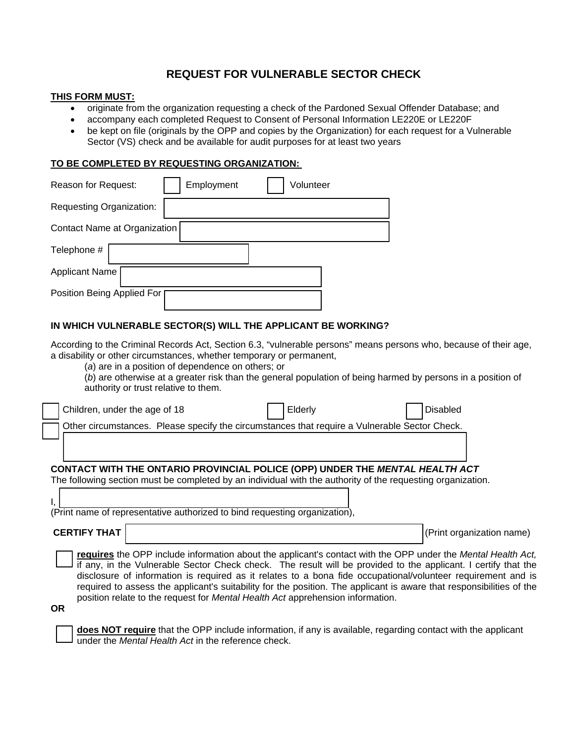# **REQUEST FOR VULNERABLE SECTOR CHECK**

### **THIS FORM MUST:**

- originate from the organization requesting a check of the Pardoned Sexual Offender Database; and
- accompany each completed Request to Consent of Personal Information LE220E or LE220F
- be kept on file (originals by the OPP and copies by the Organization) for each request for a Vulnerable Sector (VS) check and be available for audit purposes for at least two years

## **TO BE COMPLETED BY REQUESTING ORGANIZATION:**

| Reason for Request:          | Employment | Volunteer |  |
|------------------------------|------------|-----------|--|
| Requesting Organization:     |            |           |  |
| Contact Name at Organization |            |           |  |
| Telephone #                  |            |           |  |
| <b>Applicant Name</b>        |            |           |  |
| Position Being Applied For   |            |           |  |

# **IN WHICH VULNERABLE SECTOR(S) WILL THE APPLICANT BE WORKING?**

According to the Criminal Records Act, Section 6.3, "vulnerable persons" means persons who, because of their age, a disability or other circumstances, whether temporary or permanent,

(*a*) are in a position of dependence on others; or

(*b*) are otherwise at a greater risk than the general population of being harmed by persons in a position of authority or trust relative to them.

|                                                                                                                                                                                                                                                                                                                                                                                                                                                                                                                                                                       | Children, under the age of 18                                                                                                                                                               |                                                                                               |  | Elderly |  | <b>Disabled</b>           |
|-----------------------------------------------------------------------------------------------------------------------------------------------------------------------------------------------------------------------------------------------------------------------------------------------------------------------------------------------------------------------------------------------------------------------------------------------------------------------------------------------------------------------------------------------------------------------|---------------------------------------------------------------------------------------------------------------------------------------------------------------------------------------------|-----------------------------------------------------------------------------------------------|--|---------|--|---------------------------|
|                                                                                                                                                                                                                                                                                                                                                                                                                                                                                                                                                                       |                                                                                                                                                                                             | Other circumstances. Please specify the circumstances that require a Vulnerable Sector Check. |  |         |  |                           |
|                                                                                                                                                                                                                                                                                                                                                                                                                                                                                                                                                                       |                                                                                                                                                                                             |                                                                                               |  |         |  |                           |
|                                                                                                                                                                                                                                                                                                                                                                                                                                                                                                                                                                       | CONTACT WITH THE ONTARIO PROVINCIAL POLICE (OPP) UNDER THE MENTAL HEALTH ACT<br>The following section must be completed by an individual with the authority of the requesting organization. |                                                                                               |  |         |  |                           |
| (Print name of representative authorized to bind requesting organization),                                                                                                                                                                                                                                                                                                                                                                                                                                                                                            |                                                                                                                                                                                             |                                                                                               |  |         |  |                           |
|                                                                                                                                                                                                                                                                                                                                                                                                                                                                                                                                                                       | <b>CERTIFY THAT</b>                                                                                                                                                                         |                                                                                               |  |         |  | (Print organization name) |
| requires the OPP include information about the applicant's contact with the OPP under the Mental Health Act,<br>if any, in the Vulnerable Sector Check check. The result will be provided to the applicant. I certify that the<br>disclosure of information is required as it relates to a bona fide occupational/volunteer requirement and is<br>required to assess the applicant's suitability for the position. The applicant is aware that responsibilities of the<br>position relate to the request for Mental Health Act apprehension information.<br><b>OR</b> |                                                                                                                                                                                             |                                                                                               |  |         |  |                           |

**does NOT require** that the OPP include information, if any is available, regarding contact with the applicant under the *Mental Health Act* in the reference check.